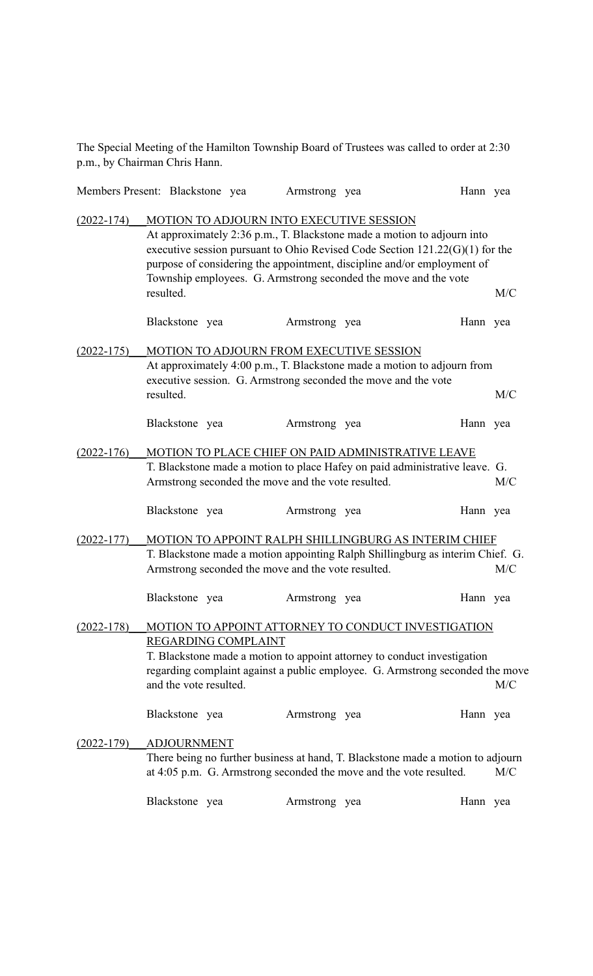The Special Meeting of the Hamilton Township Board of Trustees was called to order at 2:30 p.m., by Chairman Chris Hann.

|                |                                                                                                                                                                                                                                                                                                                                                                  | Members Present: Blackstone yea | Armstrong yea                                                                                                                                                                         | Hann yea |     |
|----------------|------------------------------------------------------------------------------------------------------------------------------------------------------------------------------------------------------------------------------------------------------------------------------------------------------------------------------------------------------------------|---------------------------------|---------------------------------------------------------------------------------------------------------------------------------------------------------------------------------------|----------|-----|
| $(2022 - 174)$ | MOTION TO ADJOURN INTO EXECUTIVE SESSION<br>At approximately 2:36 p.m., T. Blackstone made a motion to adjourn into<br>executive session pursuant to Ohio Revised Code Section $121.22(G)(1)$ for the<br>purpose of considering the appointment, discipline and/or employment of<br>Township employees. G. Armstrong seconded the move and the vote<br>resulted. |                                 |                                                                                                                                                                                       |          | M/C |
|                | Blackstone yea                                                                                                                                                                                                                                                                                                                                                   |                                 | Armstrong yea                                                                                                                                                                         | Hann yea |     |
| $(2022 - 175)$ | resulted.                                                                                                                                                                                                                                                                                                                                                        |                                 | MOTION TO ADJOURN FROM EXECUTIVE SESSION<br>At approximately 4:00 p.m., T. Blackstone made a motion to adjourn from<br>executive session. G. Armstrong seconded the move and the vote |          | M/C |
|                | Blackstone yea                                                                                                                                                                                                                                                                                                                                                   |                                 | Armstrong yea                                                                                                                                                                         | Hann yea |     |
| $(2022 - 176)$ | MOTION TO PLACE CHIEF ON PAID ADMINISTRATIVE LEAVE<br>T. Blackstone made a motion to place Hafey on paid administrative leave. G.<br>Armstrong seconded the move and the vote resulted.                                                                                                                                                                          |                                 |                                                                                                                                                                                       |          | M/C |
|                | Blackstone yea                                                                                                                                                                                                                                                                                                                                                   |                                 | Armstrong yea                                                                                                                                                                         | Hann yea |     |
| $(2022 - 177)$ | MOTION TO APPOINT RALPH SHILLINGBURG AS INTERIM CHIEF<br>T. Blackstone made a motion appointing Ralph Shillingburg as interim Chief. G.<br>Armstrong seconded the move and the vote resulted.                                                                                                                                                                    |                                 |                                                                                                                                                                                       |          |     |
|                | Blackstone yea                                                                                                                                                                                                                                                                                                                                                   |                                 | Armstrong yea                                                                                                                                                                         | Hann yea |     |
| $(2022 - 178)$ | MOTION TO APPOINT ATTORNEY TO CONDUCT INVESTIGATION<br>REGARDING COMPLAINT<br>T. Blackstone made a motion to appoint attorney to conduct investigation<br>regarding complaint against a public employee. G. Armstrong seconded the move<br>and the vote resulted.<br>M/C                                                                                         |                                 |                                                                                                                                                                                       |          |     |
|                | Blackstone yea                                                                                                                                                                                                                                                                                                                                                   |                                 | Armstrong yea                                                                                                                                                                         | Hann yea |     |
| $(2022 - 179)$ | <b>ADJOURNMENT</b>                                                                                                                                                                                                                                                                                                                                               |                                 | There being no further business at hand, T. Blackstone made a motion to adjourn<br>at 4:05 p.m. G. Armstrong seconded the move and the vote resulted.                                 |          | M/C |
|                | Blackstone yea                                                                                                                                                                                                                                                                                                                                                   |                                 | Armstrong yea                                                                                                                                                                         | Hann yea |     |